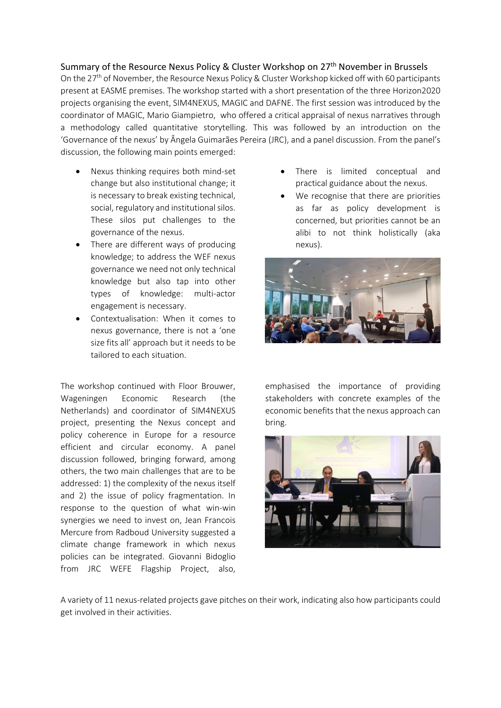## Summary of the Resource Nexus Policy & Cluster Workshop on 27th November in Brussels

On the  $27<sup>th</sup>$  of November, the Resource Nexus Policy & Cluster Workshop kicked off with 60 participants present at EASME premises. The workshop started with a short presentation of the three Horizon2020 projects organising the event, SIM4NEXUS, MAGIC and DAFNE. The first session was introduced by the coordinator of MAGIC, Mario Giampietro, who offered a critical appraisal of nexus narratives through a methodology called quantitative storytelling. This was followed by an introduction on the 'Governance of the nexus' by Ângela Guimarães Pereira (JRC), and a panel discussion. From the panel's discussion, the following main points emerged:

- Nexus thinking requires both mind-set change but also institutional change; it is necessary to break existing technical, social, regulatory and institutional silos. These silos put challenges to the governance of the nexus.
- There are different ways of producing knowledge; to address the WEF nexus governance we need not only technical knowledge but also tap into other types of knowledge: multi-actor engagement is necessary.
- Contextualisation: When it comes to nexus governance, there is not a 'one size fits all' approach but it needs to be tailored to each situation.

The workshop continued with Floor Brouwer, Wageningen Economic Research (the Netherlands) and coordinator of SIM4NEXUS project, presenting the Nexus concept and policy coherence in Europe for a resource efficient and circular economy. A panel discussion followed, bringing forward, among others, the two main challenges that are to be addressed: 1) the complexity of the nexus itself and 2) the issue of policy fragmentation. In response to the question of what win-win synergies we need to invest on, Jean Francois Mercure from Radboud University suggested a climate change framework in which nexus policies can be integrated. Giovanni Bidoglio from JRC WEFE Flagship Project, also,

- There is limited conceptual and practical guidance about the nexus.
- We recognise that there are priorities as far as policy development is concerned, but priorities cannot be an alibi to not think holistically (aka nexus).



emphasised the importance of providing stakeholders with concrete examples of the economic benefits that the nexus approach can bring.



A variety of 11 nexus-related projects gave pitches on their work, indicating also how participants could get involved in their activities.